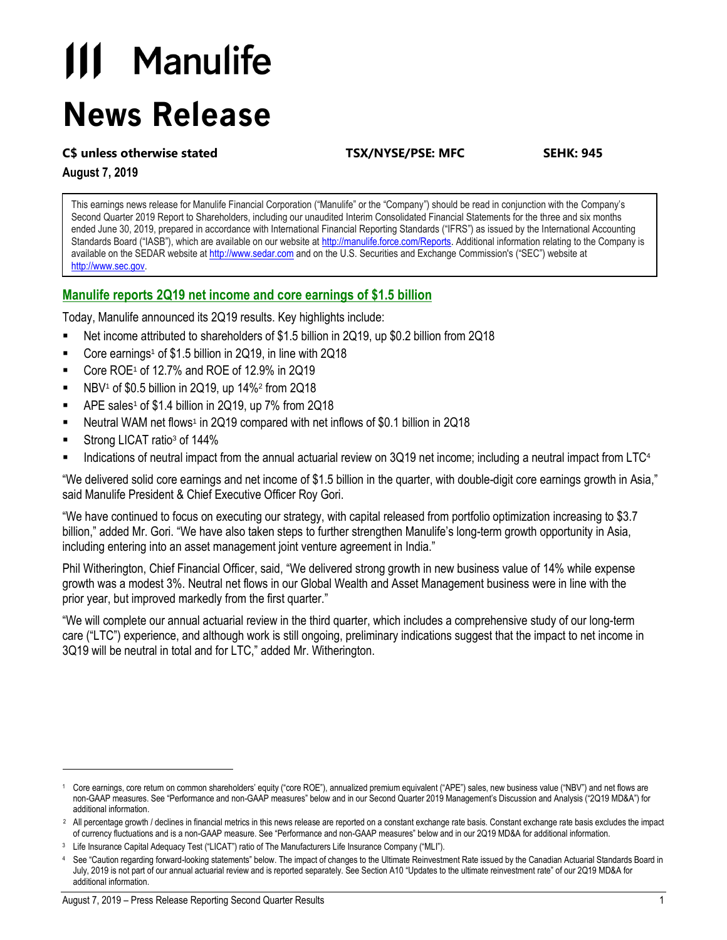# **111 Manulife News Release**

#### **C\$ unless otherwise stated TSX/NYSE/PSE: MFC SEHK: 945**

**August 7, 2019**

This earnings news release for Manulife Financial Corporation ("Manulife" or the "Company") should be read in conjunction with the Company's Second Quarter 2019 Report to Shareholders, including our unaudited Interim Consolidated Financial Statements for the three and six months ended June 30, 2019, prepared in accordance with International Financial Reporting Standards ("IFRS") as issued by the International Accounting Standards Board ("IASB"), which are available on our website at [http://manulife.force.com/Reports.](http://manulife.force.com/Reports) Additional information relating to the Company is available on the SEDAR website a[t http://www.sedar.com](http://www.sedar.com/) and on the U.S. Securities and Exchange Commission's ("SEC") website at [http://www.sec.gov.](http://www.sec.gov/)

#### **Manulife reports 2Q19 net income and core earnings of \$1.5 billion**

Today, Manulife announced its 2Q19 results. Key highlights include:

- Net income attributed to shareholders of \$1.5 billion in 2Q19, up \$0.2 billion from 2Q18
- Core earnings<sup>1</sup> of \$1.5 billion in 2Q19, in line with 2Q18
- Core ROE<sup>1</sup> of 12.7% and ROE of 12.9% in 2Q19
- $\blacksquare$  NBV<sup>1</sup> of \$0.5 billion in 2Q19, up 14%<sup>2</sup> from 2Q18
- APE sales<sup>1</sup> of \$1.4 billion in 2Q19, up  $7\%$  from 2Q18
- Neutral WAM net flows<sup>1</sup> in 2Q19 compared with net inflows of \$0.1 billion in 2Q18
- Strong LICAT ratio<sup>3</sup> of 144%

l

Indications of neutral impact from the annual actuarial review on  $3Q19$  net income; including a neutral impact from LTC<sup>4</sup>

"We delivered solid core earnings and net income of \$1.5 billion in the quarter, with double-digit core earnings growth in Asia," said Manulife President & Chief Executive Officer Roy Gori.

"We have continued to focus on executing our strategy, with capital released from portfolio optimization increasing to \$3.7 billion," added Mr. Gori. "We have also taken steps to further strengthen Manulife's long-term growth opportunity in Asia, including entering into an asset management joint venture agreement in India."

Phil Witherington, Chief Financial Officer, said, "We delivered strong growth in new business value of 14% while expense growth was a modest 3%. Neutral net flows in our Global Wealth and Asset Management business were in line with the prior year, but improved markedly from the first quarter."

"We will complete our annual actuarial review in the third quarter, which includes a comprehensive study of our long-term care ("LTC") experience, and although work is still ongoing, preliminary indications suggest that the impact to net income in 3Q19 will be neutral in total and for LTC," added Mr. Witherington.

<sup>1</sup> Core earnings, core return on common shareholders' equity ("core ROE"), annualized premium equivalent ("APE") sales, new business value ("NBV") and net flows are non-GAAP measures. See "Performance and non-GAAP measures" below and in our Second Quarter 2019 Management's Discussion and Analysis ("2Q19 MD&A") for additional information.

<sup>&</sup>lt;sup>2</sup> All percentage growth / declines in financial metrics in this news release are reported on a constant exchange rate basis. Constant exchange rate basis excludes the impact of currency fluctuations and is a non-GAAP measure. See "Performance and non-GAAP measures" below and in our 2Q19 MD&A for additional information.

Life Insurance Capital Adequacy Test ("LICAT") ratio of The Manufacturers Life Insurance Company ("MLI").

See "Caution regarding forward-looking statements" below. The impact of changes to the Ultimate Reinvestment Rate issued by the Canadian Actuarial Standards Board in July, 2019 is not part of our annual actuarial review and is reported separately. See Section A10 "Updates to the ultimate reinvestment rate" of our 2Q19 MD&A for additional information.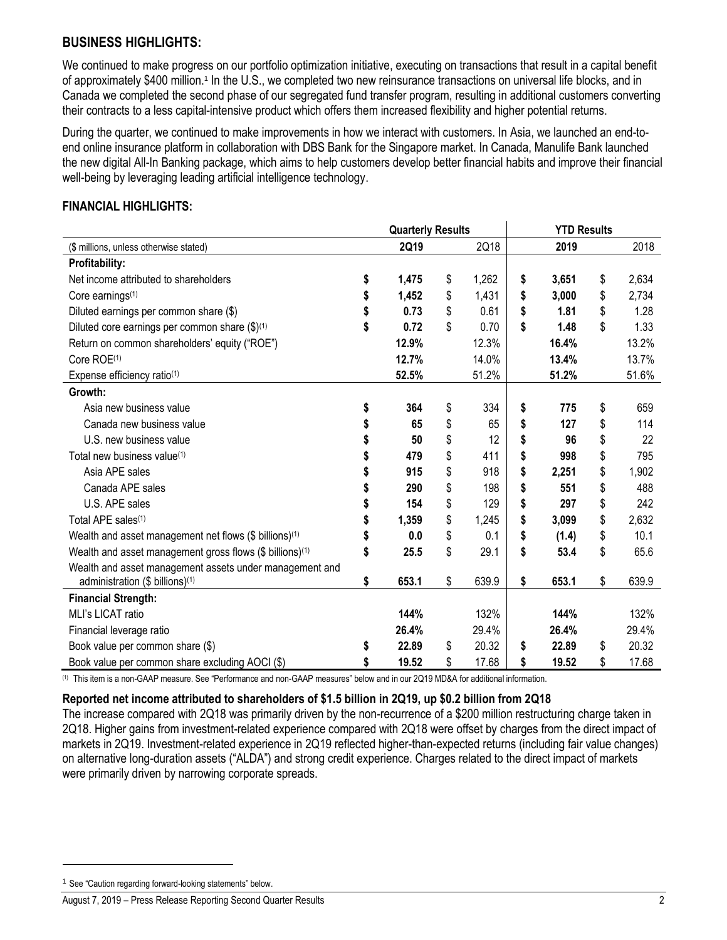## **BUSINESS HIGHLIGHTS:**

We continued to make progress on our portfolio optimization initiative, executing on transactions that result in a capital benefit of approximately \$400 million.<sup>1</sup> In the U.S., we completed two new reinsurance transactions on universal life blocks, and in Canada we completed the second phase of our segregated fund transfer program, resulting in additional customers converting their contracts to a less capital-intensive product which offers them increased flexibility and higher potential returns.

During the quarter, we continued to make improvements in how we interact with customers. In Asia, we launched an end-toend online insurance platform in collaboration with DBS Bank for the Singapore market. In Canada, Manulife Bank launched the new digital All-In Banking package, which aims to help customers develop better financial habits and improve their financial well-being by leveraging leading artificial intelligence technology.

#### **FINANCIAL HIGHLIGHTS:**

|                                                          | <b>Quarterly Results</b> |             | <b>YTD Results</b> |       |    |       |  |
|----------------------------------------------------------|--------------------------|-------------|--------------------|-------|----|-------|--|
| (\$ millions, unless otherwise stated)                   | 2Q19                     | 2Q18        |                    | 2019  |    | 2018  |  |
| <b>Profitability:</b>                                    |                          |             |                    |       |    |       |  |
| Net income attributed to shareholders                    | \$<br>1,475              | \$<br>1,262 | \$                 | 3,651 | \$ | 2,634 |  |
| Core earnings <sup>(1)</sup>                             | 1,452                    | \$<br>1,431 | \$                 | 3,000 | \$ | 2,734 |  |
| Diluted earnings per common share (\$)                   | 0.73                     | \$<br>0.61  | \$                 | 1.81  | \$ | 1.28  |  |
| Diluted core earnings per common share (\$)(1)           | \$<br>0.72               | \$<br>0.70  | \$                 | 1.48  | \$ | 1.33  |  |
| Return on common shareholders' equity ("ROE")            | 12.9%                    | 12.3%       |                    | 16.4% |    | 13.2% |  |
| Core ROE <sup>(1)</sup>                                  | 12.7%                    | 14.0%       |                    | 13.4% |    | 13.7% |  |
| Expense efficiency ratio <sup>(1)</sup>                  | 52.5%                    | 51.2%       |                    | 51.2% |    | 51.6% |  |
| Growth:                                                  |                          |             |                    |       |    |       |  |
| Asia new business value                                  | \$<br>364                | \$<br>334   | \$                 | 775   | \$ | 659   |  |
| Canada new business value                                | 65                       | \$<br>65    | \$                 | 127   | \$ | 114   |  |
| U.S. new business value                                  | 50                       | \$<br>12    | \$                 | 96    | \$ | 22    |  |
| Total new business value <sup>(1)</sup>                  | 479                      | \$<br>411   | \$                 | 998   | \$ | 795   |  |
| Asia APE sales                                           | 915                      | \$<br>918   | \$                 | 2,251 | \$ | 1,902 |  |
| Canada APE sales                                         | 290                      | \$<br>198   | \$                 | 551   | \$ | 488   |  |
| U.S. APE sales                                           | 154                      | \$<br>129   | \$                 | 297   | \$ | 242   |  |
| Total APE sales <sup>(1)</sup>                           | 1,359                    | \$<br>1,245 | \$                 | 3,099 | \$ | 2,632 |  |
| Wealth and asset management net flows (\$ billions)(1)   | 0.0                      | \$<br>0.1   | \$                 | (1.4) | \$ | 10.1  |  |
| Wealth and asset management gross flows (\$ billions)(1) | \$<br>25.5               | \$<br>29.1  | \$                 | 53.4  | \$ | 65.6  |  |
| Wealth and asset management assets under management and  |                          |             |                    |       |    |       |  |
| administration (\$ billions) <sup>(1)</sup>              | \$<br>653.1              | \$<br>639.9 | \$                 | 653.1 | \$ | 639.9 |  |
| <b>Financial Strength:</b>                               |                          |             |                    |       |    |       |  |
| MLI's LICAT ratio                                        | 144%                     | 132%        |                    | 144%  |    | 132%  |  |
| Financial leverage ratio                                 | 26.4%                    | 29.4%       |                    | 26.4% |    | 29.4% |  |
| Book value per common share (\$)                         | \$<br>22.89              | \$<br>20.32 | \$                 | 22.89 | \$ | 20.32 |  |
| Book value per common share excluding AOCI (\$)          | 19.52                    | \$<br>17.68 | \$                 | 19.52 | \$ | 17.68 |  |

(1) This item is a non-GAAP measure. See "Performance and non-GAAP measures" below and in our 2Q19 MD&A for additional information.

#### **Reported net income attributed to shareholders of \$1.5 billion in 2Q19, up \$0.2 billion from 2Q18**

The increase compared with 2Q18 was primarily driven by the non-recurrence of a \$200 million restructuring charge taken in 2Q18. Higher gains from investment-related experience compared with 2Q18 were offset by charges from the direct impact of markets in 2Q19. Investment-related experience in 2Q19 reflected higher-than-expected returns (including fair value changes) on alternative long-duration assets ("ALDA") and strong credit experience. Charges related to the direct impact of markets were primarily driven by narrowing corporate spreads.

l

<sup>&</sup>lt;sup>1</sup> See "Caution regarding forward-looking statements" below.

August 7, 2019 – Press Release Reporting Second Quarter Results 2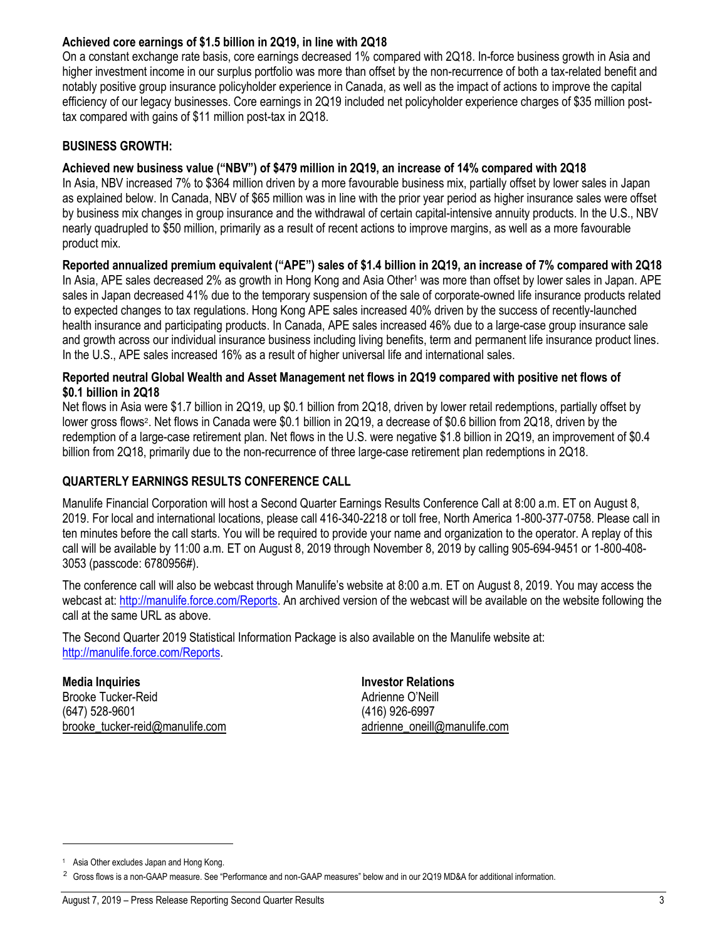### **Achieved core earnings of \$1.5 billion in 2Q19, in line with 2Q18**

On a constant exchange rate basis, core earnings decreased 1% compared with 2Q18. In-force business growth in Asia and higher investment income in our surplus portfolio was more than offset by the non-recurrence of both a tax-related benefit and notably positive group insurance policyholder experience in Canada, as well as the impact of actions to improve the capital efficiency of our legacy businesses. Core earnings in 2Q19 included net policyholder experience charges of \$35 million posttax compared with gains of \$11 million post-tax in 2Q18.

### **BUSINESS GROWTH:**

#### **Achieved new business value ("NBV") of \$479 million in 2Q19, an increase of 14% compared with 2Q18**

In Asia, NBV increased 7% to \$364 million driven by a more favourable business mix, partially offset by lower sales in Japan as explained below. In Canada, NBV of \$65 million was in line with the prior year period as higher insurance sales were offset by business mix changes in group insurance and the withdrawal of certain capital-intensive annuity products. In the U.S., NBV nearly quadrupled to \$50 million, primarily as a result of recent actions to improve margins, as well as a more favourable product mix.

**Reported annualized premium equivalent ("APE") sales of \$1.4 billion in 2Q19, an increase of 7% compared with 2Q18** In Asia, APE sales decreased 2% as growth in Hong Kong and Asia Other<sup>1</sup> was more than offset by lower sales in Japan. APE sales in Japan decreased 41% due to the temporary suspension of the sale of corporate-owned life insurance products related to expected changes to tax regulations. Hong Kong APE sales increased 40% driven by the success of recently-launched health insurance and participating products. In Canada, APE sales increased 46% due to a large-case group insurance sale and growth across our individual insurance business including living benefits, term and permanent life insurance product lines. In the U.S., APE sales increased 16% as a result of higher universal life and international sales.

#### **Reported neutral Global Wealth and Asset Management net flows in 2Q19 compared with positive net flows of \$0.1 billion in 2Q18**

Net flows in Asia were \$1.7 billion in 2Q19, up \$0.1 billion from 2Q18, driven by lower retail redemptions, partially offset by lower gross flows<sup>2</sup>. Net flows in Canada were \$0.1 billion in 2Q19, a decrease of \$0.6 billion from 2Q18, driven by the redemption of a large-case retirement plan. Net flows in the U.S. were negative \$1.8 billion in 2Q19, an improvement of \$0.4 billion from 2Q18, primarily due to the non-recurrence of three large-case retirement plan redemptions in 2Q18.

#### **QUARTERLY EARNINGS RESULTS CONFERENCE CALL**

Manulife Financial Corporation will host a Second Quarter Earnings Results Conference Call at 8:00 a.m. ET on August 8, 2019. For local and international locations, please call 416-340-2218 or toll free, North America 1-800-377-0758. Please call in ten minutes before the call starts. You will be required to provide your name and organization to the operator. A replay of this call will be available by 11:00 a.m. ET on August 8, 2019 through November 8, 2019 by calling 905-694-9451 or 1-800-408- 3053 (passcode: 6780956#).

The conference call will also be webcast through Manulife's website at 8:00 a.m. ET on August 8, 2019. You may access the webcast at: [http://manulife.force.com/Reports.](http://manulife.force.com/Reports) An archived version of the webcast will be available on the website following the call at the same URL as above.

The Second Quarter 2019 Statistical Information Package is also available on the Manulife website at: [http://manulife.force.com/Reports.](http://manulife.force.com/Reports)

**Media Inquiries Investor Relations** Brooke Tucker-Reid **Adrienne O'Neill Adrienne O'Neill** (647) 528-9601 (416) 926-6997 [brooke\\_tucker-reid@manulife.com](mailto:sean_pasternak@manulife.com) adrienne\_oneill@manulife.com

l

<sup>&</sup>lt;sup>1</sup> Asia Other excludes Japan and Hong Kong.

 $2$  Gross flows is a non-GAAP measure. See "Performance and non-GAAP measures" below and in our 2Q19 MD&A for additional information.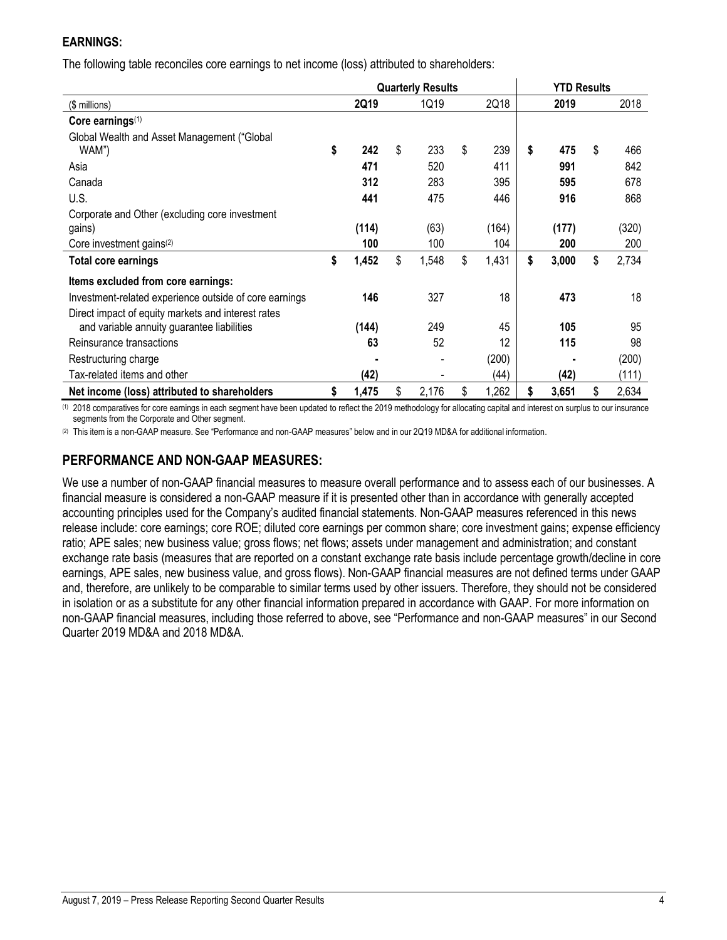## **EARNINGS:**

The following table reconciles core earnings to net income (loss) attributed to shareholders:

|                                                        | <b>Quarterly Results</b> |    |       |    |       |    | <b>YTD Results</b> |    |       |  |
|--------------------------------------------------------|--------------------------|----|-------|----|-------|----|--------------------|----|-------|--|
| (\$ millions)                                          | 2Q19                     |    | 1Q19  |    | 2Q18  |    | 2019               |    | 2018  |  |
| Core earnings $(1)$                                    |                          |    |       |    |       |    |                    |    |       |  |
| Global Wealth and Asset Management ("Global            |                          |    |       |    |       |    |                    |    |       |  |
| WAM")                                                  | \$<br>242                | \$ | 233   | \$ | 239   | \$ | 475                | \$ | 466   |  |
| Asia                                                   | 471                      |    | 520   |    | 411   |    | 991                |    | 842   |  |
| Canada                                                 | 312                      |    | 283   |    | 395   |    | 595                |    | 678   |  |
| U.S.                                                   | 441                      |    | 475   |    | 446   |    | 916                |    | 868   |  |
| Corporate and Other (excluding core investment         |                          |    |       |    |       |    |                    |    |       |  |
| gains)                                                 | (114)                    |    | (63)  |    | (164) |    | (177)              |    | (320) |  |
| Core investment gains <sup>(2)</sup>                   | 100                      |    | 100   |    | 104   |    | 200                |    | 200   |  |
| Total core earnings                                    | \$<br>1,452              | \$ | 1,548 | \$ | 1,431 | \$ | 3,000              | \$ | 2,734 |  |
| Items excluded from core earnings:                     |                          |    |       |    |       |    |                    |    |       |  |
| Investment-related experience outside of core earnings | 146                      |    | 327   |    | 18    |    | 473                |    | 18    |  |
| Direct impact of equity markets and interest rates     |                          |    |       |    |       |    |                    |    |       |  |
| and variable annuity guarantee liabilities             | (144)                    |    | 249   |    | 45    |    | 105                |    | 95    |  |
| Reinsurance transactions                               | 63                       |    | 52    |    | 12    |    | 115                |    | 98    |  |
| Restructuring charge                                   |                          |    |       |    | (200) |    |                    |    | (200) |  |
| Tax-related items and other                            | (42)                     |    |       |    | (44)  |    | (42)               |    | (111) |  |
| Net income (loss) attributed to shareholders           | \$<br>1,475              | \$ | 2,176 | \$ | 1,262 | \$ | 3,651              | \$ | 2,634 |  |

(1) 2018 comparatives for core earnings in each segment have been updated to reflect the 2019 methodology for allocating capital and interest on surplus to our insurance segments from the Corporate and Other segment.

(2) This item is a non-GAAP measure. See "Performance and non-GAAP measures" below and in our 2Q19 MD&A for additional information.

## **PERFORMANCE AND NON-GAAP MEASURES:**

We use a number of non-GAAP financial measures to measure overall performance and to assess each of our businesses. A financial measure is considered a non-GAAP measure if it is presented other than in accordance with generally accepted accounting principles used for the Company's audited financial statements. Non-GAAP measures referenced in this news release include: core earnings; core ROE; diluted core earnings per common share; core investment gains; expense efficiency ratio; APE sales; new business value; gross flows; net flows; assets under management and administration; and constant exchange rate basis (measures that are reported on a constant exchange rate basis include percentage growth/decline in core earnings, APE sales, new business value, and gross flows). Non-GAAP financial measures are not defined terms under GAAP and, therefore, are unlikely to be comparable to similar terms used by other issuers. Therefore, they should not be considered in isolation or as a substitute for any other financial information prepared in accordance with GAAP. For more information on non-GAAP financial measures, including those referred to above, see "Performance and non-GAAP measures" in our Second Quarter 2019 MD&A and 2018 MD&A.